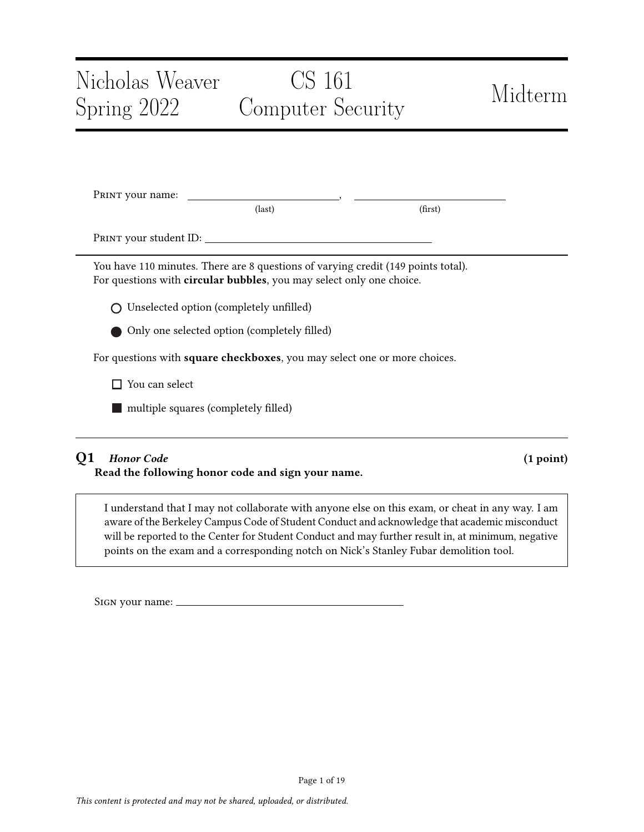# Nicholas Weaver Spring 2022 CS 161 Computer Security Midterm PRINT your name: \_ (last) (first) Print your student ID: You have 110 minutes. There are 8 questions of varying credit (149 points total). For questions with circular bubbles, you may select only one choice. Unselected option (completely unfilled) Only one selected option (completely filled)

For questions with square checkboxes, you may select one or more choices.

□ You can select

**nultiple squares (completely filled)** 

# Q1 Honor Code (1 point)

Read the following honor code and sign your name.

I understand that I may not collaborate with anyone else on this exam, or cheat in any way. I am aware of the Berkeley Campus Code of Student Conduct and acknowledge that academic misconduct will be reported to the Center for Student Conduct and may further result in, at minimum, negative points on the exam and a corresponding notch on Nick's Stanley Fubar demolition tool.

Sign your name: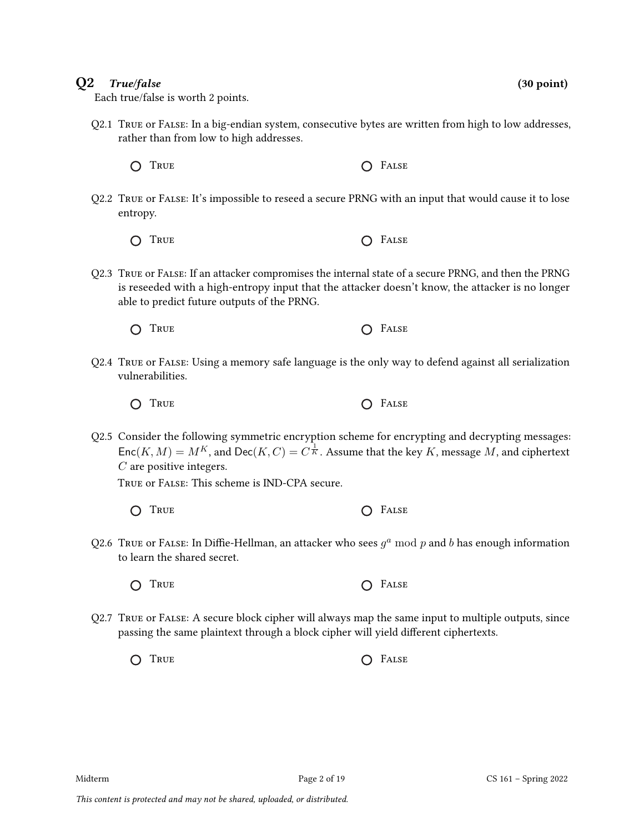### $Q2$  True/false (30 point) (30 point)

Each true/false is worth 2 points.

- Q2.1 True or False: In a big-endian system, consecutive bytes are written from high to low addresses, rather than from low to high addresses.
	- $\bigcap$  True  $\bigcap$  False
- Q2.2 True or False: It's impossible to reseed a secure PRNG with an input that would cause it to lose entropy.
	- O TRUE O FALSE
- Q2.3 True or False: If an attacker compromises the internal state of a secure PRNG, and then the PRNG is reseeded with a high-entropy input that the attacker doesn't know, the attacker is no longer able to predict future outputs of the PRNG.
	- O TRUE 
	SALSE
- Q2.4 True or False: Using a memory safe language is the only way to defend against all serialization vulnerabilities.
	- $\bigcap$  True  $\bigcap$  False
- Q2.5 Consider the following symmetric encryption scheme for encrypting and decrypting messages:  $\mathsf{Enc}(K, M) = M^K$ , and  $\mathsf{Dec}(K, C) = C^{\frac{1}{K}}$ . Assume that the key  $K$ , message  $M$ , and ciphertext C are positive integers.

True or False: This scheme is IND-CPA secure.

- $\bigcap$  True  $\bigcap$  False
- Q2.6  $\overline{\ }$  True or F $\overline{A}$ Lase: In Diffie-Hellman, an attacker who sees  $g^a \bmod p$  and  $b$  has enough information to learn the shared secret.
	- O TRUE O FALSE
- Q2.7 True or False: A secure block cipher will always map the same input to multiple outputs, since passing the same plaintext through a block cipher will yield different ciphertexts.

O TRUE O FALSE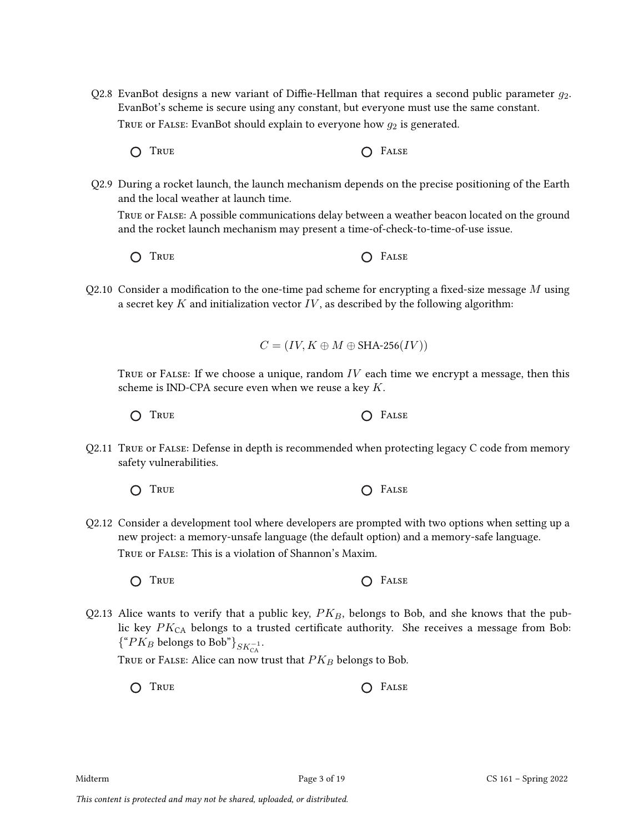- Q2.8 EvanBot designs a new variant of Diffie-Hellman that requires a second public parameter  $q_2$ . EvanBot's scheme is secure using any constant, but everyone must use the same constant. TRUE or FALSE: EvanBot should explain to everyone how  $g_2$  is generated.
	- O TRUE O FALSE
- Q2.9 During a rocket launch, the launch mechanism depends on the precise positioning of the Earth and the local weather at launch time.

True or False: A possible communications delay between a weather beacon located on the ground and the rocket launch mechanism may present a time-of-check-to-time-of-use issue.

- $\bigcap$  True  $\bigcap$  False
- Q2.10 Consider a modification to the one-time pad scheme for encrypting a fixed-size message  $M$  using a secret key  $K$  and initialization vector  $IV$ , as described by the following algorithm:

$$
C = (IV, K \oplus M \oplus \text{SHA-256}(IV))
$$

TRUE or FALSE: If we choose a unique, random  $IV$  each time we encrypt a message, then this scheme is IND-CPA secure even when we reuse a key  $K$ .

 $\bigcap$  True  $\bigcap$  False

Q2.11 True or False: Defense in depth is recommended when protecting legacy C code from memory safety vulnerabilities.

$$
\bigcirc
$$
 True 
$$
\bigcirc
$$
 False 
$$
\bigcirc
$$
 False

Q2.12 Consider a development tool where developers are prompted with two options when setting up a new project: a memory-unsafe language (the default option) and a memory-safe language. True or False: This is a violation of Shannon's Maxim.

True False

Q2.13 Alice wants to verify that a public key,  $PK_B$ , belongs to Bob, and she knows that the public key  $PK_{CA}$  belongs to a trusted certificate authority. She receives a message from Bob:  $\{$ <sup>"</sup> $PK_B$  belongs to Bob"}<sub>SK<sup>-1</sup>.</sub>

TRUE OF FALSE: Alice can now trust that  $PK_B$  belongs to Bob.

O TRUE O FALSE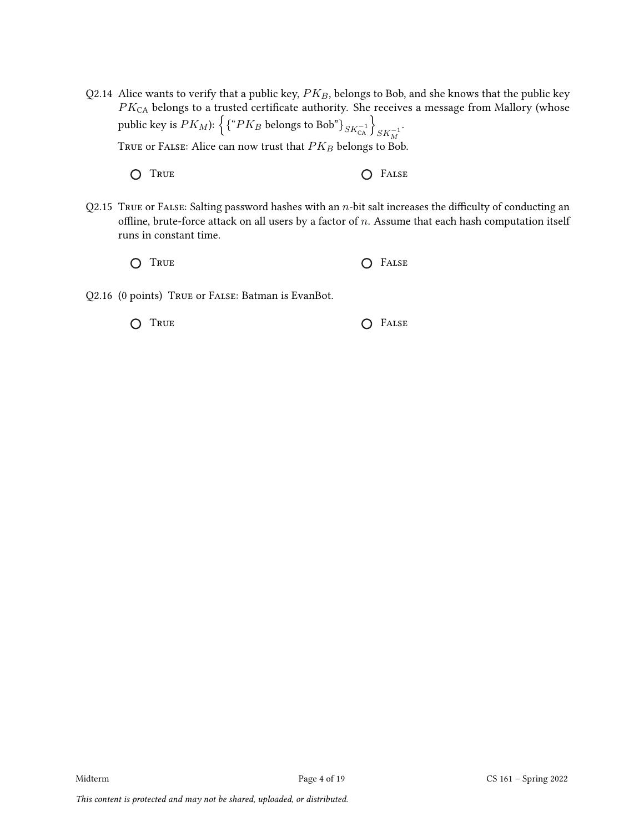- Q2.14 Alice wants to verify that a public key,  $PK_B$ , belongs to Bob, and she knows that the public key  $PK_{\mathrm{CA}}$  belongs to a trusted certificate authority. She receives a message from Mallory (whose public key is  $PK_M$ ):  $\left\{ \{``PK_B \text{ belongs to Bob"} \}_{SK_{\mathsf{CA}}^{-1}} \right\}_{SK_M^{-1}}$ . TRUE or FALSE: Alice can now trust that  $\mathcal{P} K_{\mathcal{B}}$  belongs to Bob.
	- O TRUE O FALSE
- Q2.15 TRUE or FALSE: Salting password hashes with an  $n$ -bit salt increases the difficulty of conducting an offline, brute-force attack on all users by a factor of  $n$ . Assume that each hash computation itself runs in constant time.
	- O TRUE O FALSE
- Q2.16 (0 points) True or False: Batman is EvanBot.

| O TRUE | $\bigcap$ FALSE |
|--------|-----------------|
|        |                 |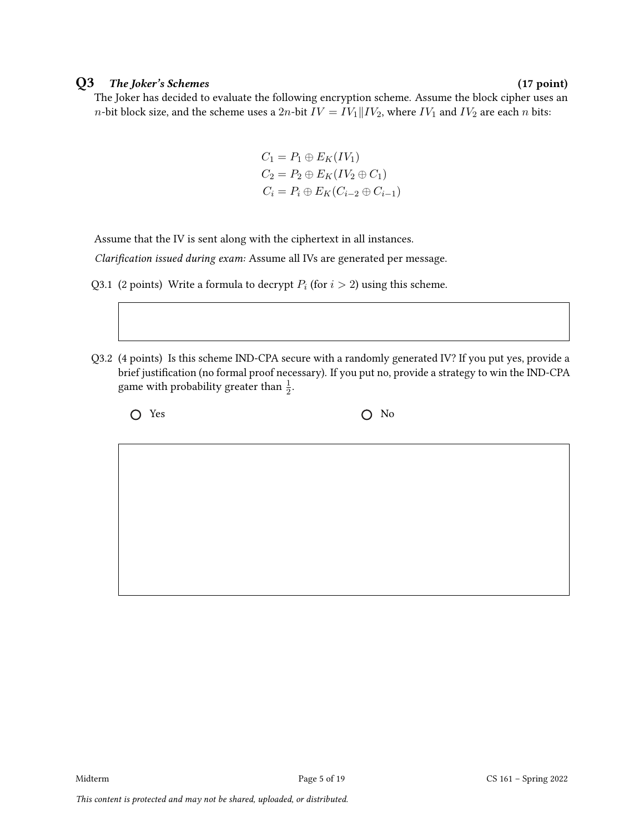### Q3 The Joker's Schemes (17 point)

The Joker has decided to evaluate the following encryption scheme. Assume the block cipher uses an n-bit block size, and the scheme uses a  $2n$ -bit  $IV = IV_1 || IV_2$ , where  $IV_1$  and  $IV_2$  are each n bits:

$$
C_1 = P_1 \oplus E_K(IV_1)
$$
  
\n
$$
C_2 = P_2 \oplus E_K(IV_2 \oplus C_1)
$$
  
\n
$$
C_i = P_i \oplus E_K(C_{i-2} \oplus C_{i-1})
$$

Assume that the IV is sent along with the ciphertext in all instances.

Clarification issued during exam: Assume all IVs are generated per message.

- Q3.1 (2 points) Write a formula to decrypt  $P_i$  (for  $i > 2$ ) using this scheme.
- Q3.2 (4 points) Is this scheme IND-CPA secure with a randomly generated IV? If you put yes, provide a brief justification (no formal proof necessary). If you put no, provide a strategy to win the IND-CPA game with probability greater than  $\frac{1}{2}$ .

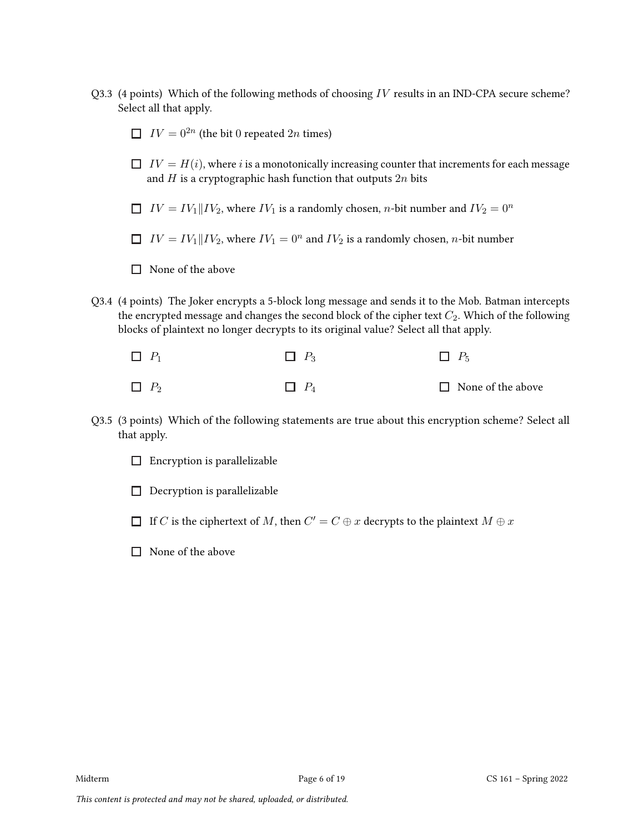- Q3.3 (4 points) Which of the following methods of choosing  $IV$  results in an IND-CPA secure scheme? Select all that apply.
	- $IV = 0^{2n}$  (the bit 0 repeated 2n times)
	- $\Box$   $IV = H(i)$ , where i is a monotonically increasing counter that increments for each message and  $H$  is a cryptographic hash function that outputs  $2n$  bits
	- $\Box$   $IV = IV_1 || IV_2$ , where  $IV_1$  is a randomly chosen, *n*-bit number and  $IV_2 = 0^n$
	- $IV = IV_1$  || $IV_2$ , where  $IV_1 = 0^n$  and  $IV_2$  is a randomly chosen, *n*-bit number
	- $\Box$  None of the above
- Q3.4 (4 points) The Joker encrypts a 5-block long message and sends it to the Mob. Batman intercepts the encrypted message and changes the second block of the cipher text  $C_2$ . Which of the following blocks of plaintext no longer decrypts to its original value? Select all that apply.

| $\Box$ $P_1$ | $\Box$ $P_3$ | $\Box$ $P_5$             |
|--------------|--------------|--------------------------|
| $\Box$ $P_2$ | $\Box$ $P_4$ | $\Box$ None of the above |

- Q3.5 (3 points) Which of the following statements are true about this encryption scheme? Select all that apply.
	- $\Box$  Encryption is parallelizable
	- $\Box$  Decryption is parallelizable
	- If  $\overline{C}$  is the ciphertext of  $M$ , then  $\overline{C'} = \overline{C} \oplus x$  decrypts to the plaintext  $M \oplus x$
	- $\Box$  None of the above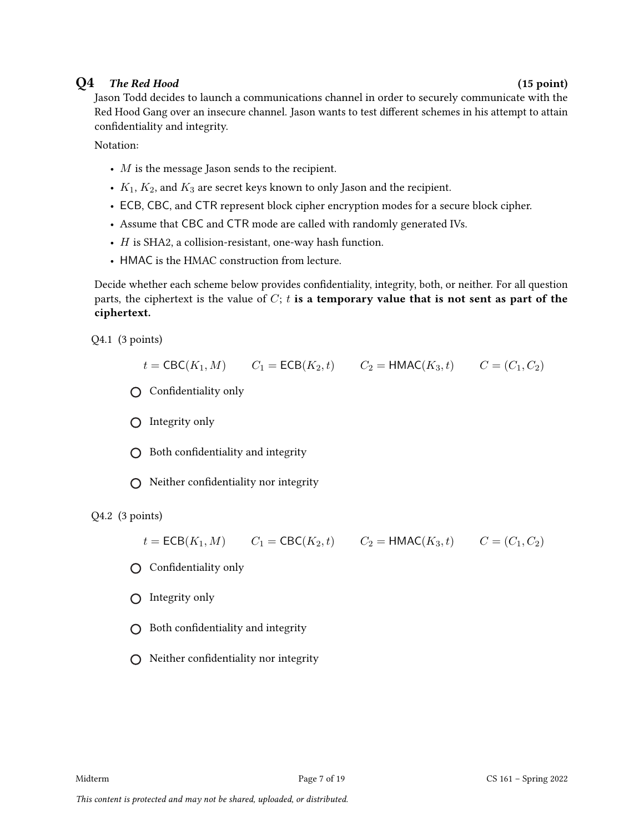## $Q4$  The Red Hood (15 point)

Jason Todd decides to launch a communications channel in order to securely communicate with the Red Hood Gang over an insecure channel. Jason wants to test different schemes in his attempt to attain confidentiality and integrity.

Notation:

- $M$  is the message Jason sends to the recipient.
- $K_1, K_2$ , and  $K_3$  are secret keys known to only Jason and the recipient.
- ECB, CBC, and CTR represent block cipher encryption modes for a secure block cipher.
- Assume that CBC and CTR mode are called with randomly generated IVs.
- $\bullet$  *H* is SHA2, a collision-resistant, one-way hash function.
- HMAC is the HMAC construction from lecture.

Decide whether each scheme below provides confidentiality, integrity, both, or neither. For all question parts, the ciphertext is the value of  $C$ ; t is a temporary value that is not sent as part of the ciphertext.

Q4.1 (3 points)

$$
t = \text{CBC}(K_1, M)
$$
  $C_1 = \text{ECB}(K_2, t)$   $C_2 = \text{HMAC}(K_3, t)$   $C = (C_1, C_2)$ 

- Confidentiality only
- $\bigcirc$  Integrity only
- $\bigcirc$  Both confidentiality and integrity
- $\bigcirc$  Neither confidentiality nor integrity

Q4.2 (3 points)

$$
t = \text{ECB}(K_1, M)
$$
  $C_1 = \text{CBC}(K_2, t)$   $C_2 = \text{HMAC}(K_3, t)$   $C = (C_1, C_2)$ 

 $\bigcap$  Confidentiality only

 $\bigcap$  Integrity only

- $\bigcirc$  Both confidentiality and integrity
- $\bigcap$  Neither confidentiality nor integrity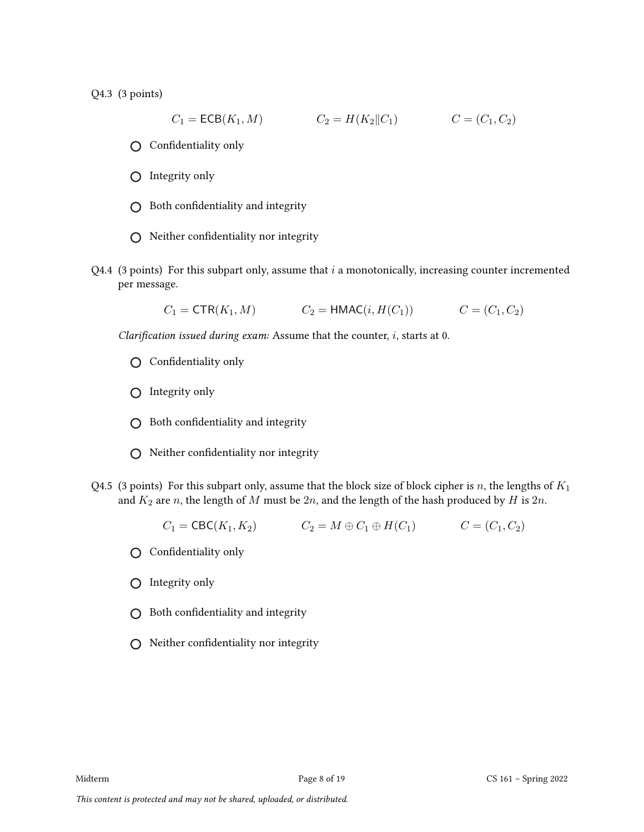Q4.3 (3 points)

$$
C_1 = \text{ECB}(K_1, M) \qquad \qquad C_2 = H(K_2 \| C_1) \qquad \qquad C = (C_1, C_2)
$$

- Confidentiality only
- $\bigcap$  Integrity only
- $\bigcirc$  Both confidentiality and integrity
- $\bigcirc$  Neither confidentiality nor integrity
- Q4.4 (3 points) For this subpart only, assume that  $i$  a monotonically, increasing counter incremented per message.

$$
C_1 = \text{CTR}(K_1, M)
$$
  $C_2 = \text{HMAC}(i, H(C_1))$   $C = (C_1, C_2)$ 

Clarification issued during exam: Assume that the counter, i, starts at 0.

- Confidentiality only
- $O$  Integrity only
- $\bigcap$  Both confidentiality and integrity
- $\bigcirc$  Neither confidentiality nor integrity
- Q4.5 (3 points) For this subpart only, assume that the block size of block cipher is n, the lengths of  $K_1$ and  $K_2$  are n, the length of M must be  $2n$ , and the length of the hash produced by H is  $2n$ .

$$
C_1 = \text{CBC}(K_1, K_2)
$$
  $C_2 = M \oplus C_1 \oplus H(C_1)$   $C = (C_1, C_2)$ 

- Confidentiality only
- Integrity only
- $\bigcirc$  Both confidentiality and integrity
- $\bigcirc$  Neither confidentiality nor integrity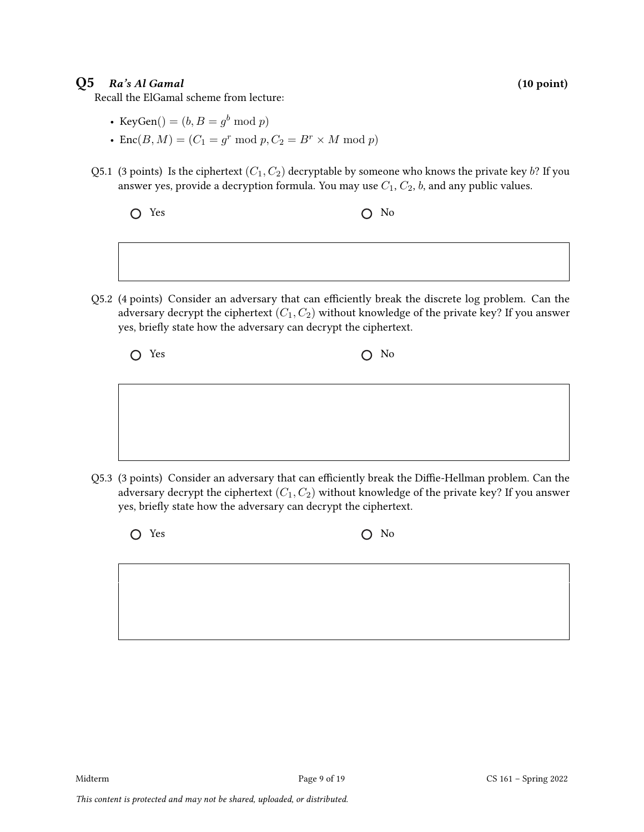### $Q5$  Ra's Al Gamal (10 point)

Recall the ElGamal scheme from lecture:

- KeyGen $() = (b, B = g^b \bmod p)$
- Enc $(B, M) = (C_1 = g^r \bmod p, C_2 = B^r \times M \bmod p)$
- Q5.1 (3 points) Is the ciphertext  $(C_1, C_2)$  decryptable by someone who knows the private key b? If you answer yes, provide a decryption formula. You may use  $C_1$ ,  $C_2$ , b, and any public values.

$$
\bigcirc \quad \text{Yes} \qquad \qquad \bigcirc \quad \text{No}
$$

Q5.2 (4 points) Consider an adversary that can efficiently break the discrete log problem. Can the adversary decrypt the ciphertext  $(C_1, C_2)$  without knowledge of the private key? If you answer yes, briefly state how the adversary can decrypt the ciphertext.

| $O$ No |
|--------|
|        |

Q5.3 (3 points) Consider an adversary that can efficiently break the Diffie-Hellman problem. Can the adversary decrypt the ciphertext  $(C_1, C_2)$  without knowledge of the private key? If you answer yes, briefly state how the adversary can decrypt the ciphertext.

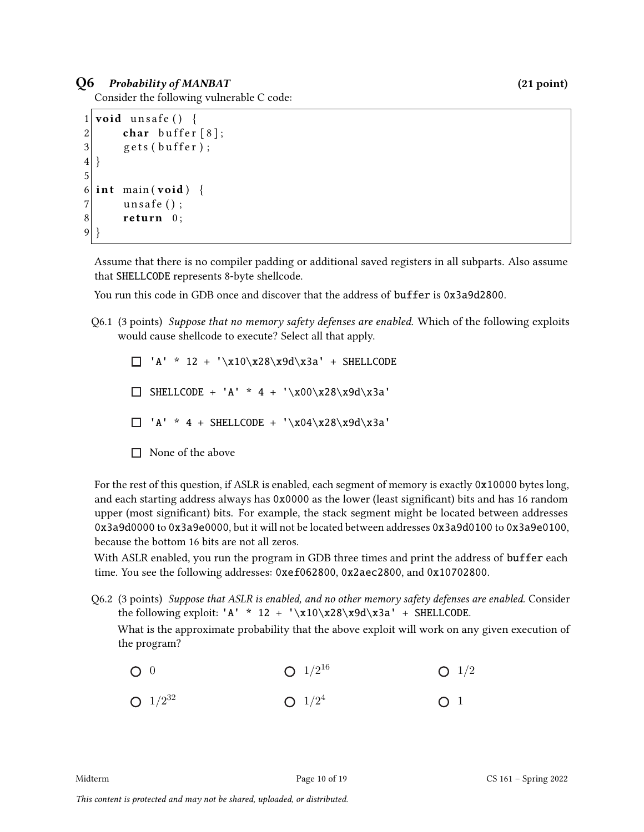### Q6 Probability of MANBAT (21 point)

Consider the following vulnerable C code:

```
1 void unsafe () {
2 char buffer [8];
3 \qquad gets (buffer);
4 }
5
6 int main (void) {
7 unsafe ();
8 return 0;
9 }
```
Assume that there is no compiler padding or additional saved registers in all subparts. Also assume that SHELLCODE represents 8-byte shellcode.

You run this code in GDB once and discover that the address of buffer is 0x3a9d2800.

Q6.1 (3 points) Suppose that no memory safety defenses are enabled. Which of the following exploits would cause shellcode to execute? Select all that apply.

 $\Box$  'A' \* 12 + '\x10\x28\x9d\x3a' + SHELLCODE  $\Box$  SHELLCODE + 'A' \* 4 + '\x00\x28\x9d\x3a'  $\Box$  'A' \* 4 + SHELLCODE + '\x04\x28\x9d\x3a'  $\Box$  None of the above

For the rest of this question, if ASLR is enabled, each segment of memory is exactly 0x10000 bytes long, and each starting address always has 0x0000 as the lower (least significant) bits and has 16 random upper (most significant) bits. For example, the stack segment might be located between addresses 0x3a9d0000 to 0x3a9e0000, but it will not be located between addresses 0x3a9d0100 to 0x3a9e0100, because the bottom 16 bits are not all zeros.

With ASLR enabled, you run the program in GDB three times and print the address of buffer each time. You see the following addresses: 0xef062800, 0x2aec2800, and 0x10702800.

Q6.2 (3 points) Suppose that ASLR is enabled, and no other memory safety defenses are enabled. Consider the following exploit: 'A' \* 12 + '\x10\x28\x9d\x3a' + SHELLCODE.

What is the approximate probability that the above exploit will work on any given execution of the program?

 $O<sub>0</sub>$ 1/2 32  $1/2^{16}$  $1/2^4$  $O<sup>1/2</sup>$  $\bigcap$  1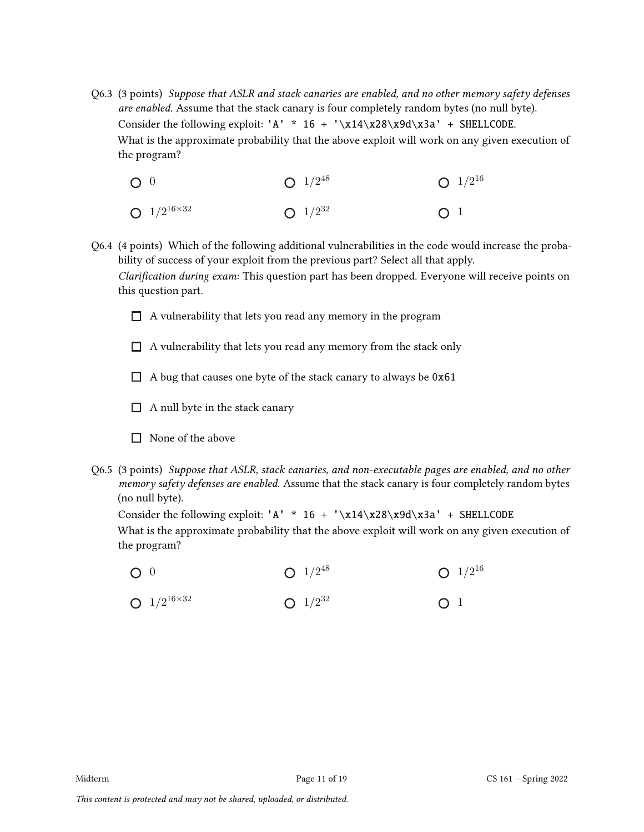- Q6.3 (3 points) Suppose that ASLR and stack canaries are enabled, and no other memory safety defenses are enabled. Assume that the stack canary is four completely random bytes (no null byte). Consider the following exploit: 'A' \*  $16 + \sqrt{x14\cdot28\cdot28}$  + SHELLCODE. What is the approximate probability that the above exploit will work on any given execution of the program?
	- $\bigcap$  0  $1/2^{16 \times 32}$ 1/2 48 1/2 32  $1/2^{16}$  $\bigcap$  1
- Q6.4 (4 points) Which of the following additional vulnerabilities in the code would increase the probability of success of your exploit from the previous part? Select all that apply. Clarification during exam: This question part has been dropped. Everyone will receive points on this question part.
	- $\Box$  A vulnerability that lets you read any memory in the program
	- $\Box$  A vulnerability that lets you read any memory from the stack only
	- $\Box$  A bug that causes one byte of the stack canary to always be 0x61
	- $\Box$  A null byte in the stack canary
	- $\Box$  None of the above
- Q6.5 (3 points) Suppose that ASLR, stack canaries, and non-executable pages are enabled, and no other memory safety defenses are enabled. Assume that the stack canary is four completely random bytes (no null byte).

Consider the following exploit: 'A' \* 16 + '\x14\x28\x9d\x3a' + SHELLCODE

What is the approximate probability that the above exploit will work on any given execution of the program?

- $O<sub>0</sub>$  $1/2^{48}$  $1/2^{16}$
- $1/2^{16 \times 32}$ 1/2 32  $O<sub>1</sub>$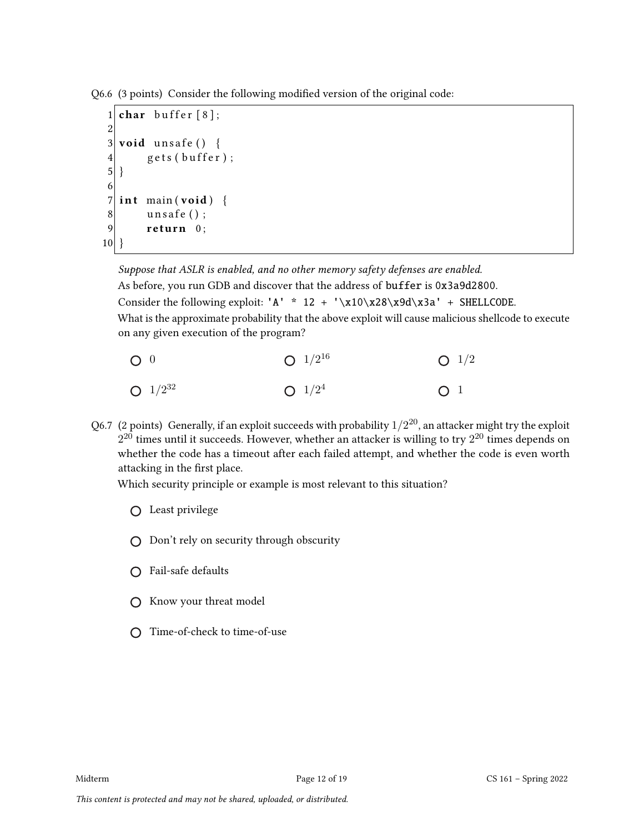Q6.6 (3 points) Consider the following modified version of the original code:

```
1 char buffer [8];
2
3 void unsafe () {
4 \text{ } gets (buffer);
5}
6<br>7
  int main (void) {
8 unsafe ();
9 return 0;
10}
```
Suppose that ASLR is enabled, and no other memory safety defenses are enabled. As before, you run GDB and discover that the address of buffer is 0x3a9d2800. Consider the following exploit: 'A' \* 12 + '\x10\x28\x9d\x3a' + SHELLCODE. What is the approximate probability that the above exploit will cause malicious shellcode to execute on any given execution of the program?

- $\bigcap$  0 1/2 32  $1/2^{16}$  $1/2^4$  $O<sub>1/2</sub>$  $\bigcap$  1
- Q6.7  $\,$  (2 points)  $\,$  Generally, if an exploit succeeds with probability  $1/2^{20}$ , an attacker might try the exploit  $2^{20}$  times until it succeeds. However, whether an attacker is willing to try  $2^{20}$  times depends on whether the code has a timeout after each failed attempt, and whether the code is even worth attacking in the first place.

Which security principle or example is most relevant to this situation?

- Least privilege
- $\bigcap$  Don't rely on security through obscurity
- Fail-safe defaults
- $\bigcirc$  Know your threat model
- Time-of-check to time-of-use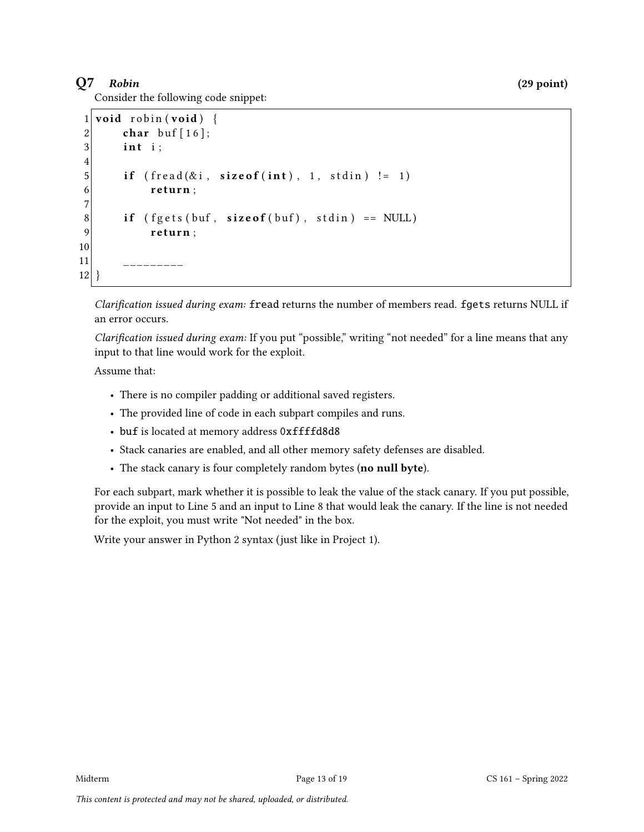# $Q7$  Robin (29 point)

Consider the following code snippet:

```
1 void robin (void) {
2 char buf [16];
3 int i:
4
5 if ( fread (ki, size of (int), 1, stdin)! = 1)
6 return;
7
8 if ( fgets (buf, size of (buf), stdin) == NULL)
9 return;
10
11 ___________
12 }
```
Clarification issued during exam: fread returns the number of members read. fgets returns NULL if an error occurs.

Clarification issued during exam: If you put "possible," writing "not needed" for a line means that any input to that line would work for the exploit.

Assume that:

- There is no compiler padding or additional saved registers.
- The provided line of code in each subpart compiles and runs.
- buf is located at memory address 0xffffd8d8
- Stack canaries are enabled, and all other memory safety defenses are disabled.
- The stack canary is four completely random bytes (no null byte).

For each subpart, mark whether it is possible to leak the value of the stack canary. If you put possible, provide an input to Line 5 and an input to Line 8 that would leak the canary. If the line is not needed for the exploit, you must write "Not needed" in the box.

Write your answer in Python 2 syntax (just like in Project 1).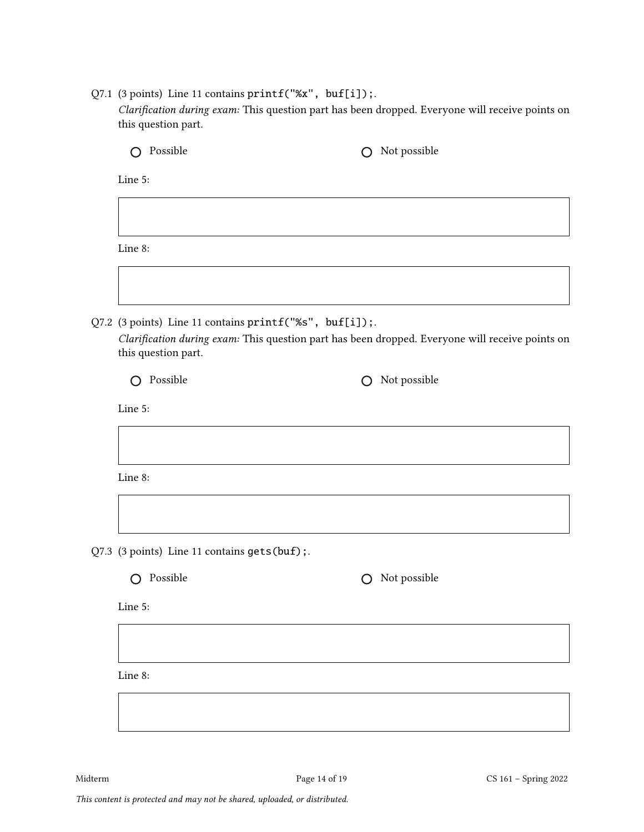Q7.1 (3 points) Line 11 contains printf("%x", buf[i]);. Clarification during exam: This question part has been dropped. Everyone will receive points on this question part.

|  | Possible<br>( )                                                                                                                                                                   | Not possible<br>◯                                               |  |  |  |
|--|-----------------------------------------------------------------------------------------------------------------------------------------------------------------------------------|-----------------------------------------------------------------|--|--|--|
|  | Line 5:                                                                                                                                                                           |                                                                 |  |  |  |
|  |                                                                                                                                                                                   |                                                                 |  |  |  |
|  | Line 8:                                                                                                                                                                           |                                                                 |  |  |  |
|  |                                                                                                                                                                                   |                                                                 |  |  |  |
|  | Q7.2 (3 points) Line 11 contains printf("%s", buf[i]);.<br>Clarification during exam: This question part has been dropped. Everyone will receive points on<br>this question part. |                                                                 |  |  |  |
|  | Possible<br>∩                                                                                                                                                                     | Not possible<br>∩                                               |  |  |  |
|  | Line 5:                                                                                                                                                                           |                                                                 |  |  |  |
|  |                                                                                                                                                                                   |                                                                 |  |  |  |
|  | Line 8:                                                                                                                                                                           |                                                                 |  |  |  |
|  |                                                                                                                                                                                   |                                                                 |  |  |  |
|  | Q7.3 (3 points) Line 11 contains gets (buf);                                                                                                                                      |                                                                 |  |  |  |
|  | Possible<br>$\bigcap$                                                                                                                                                             | Not possible<br>$\left( \begin{array}{c} 1 \end{array} \right)$ |  |  |  |
|  | Line 5:                                                                                                                                                                           |                                                                 |  |  |  |
|  |                                                                                                                                                                                   |                                                                 |  |  |  |
|  | Line 8:                                                                                                                                                                           |                                                                 |  |  |  |
|  |                                                                                                                                                                                   |                                                                 |  |  |  |
|  |                                                                                                                                                                                   |                                                                 |  |  |  |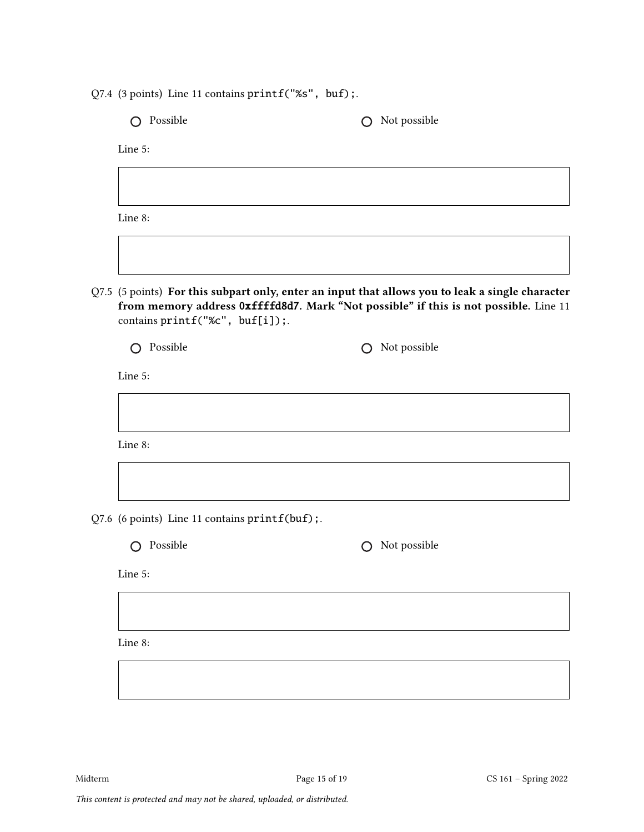Q7.4 (3 points) Line 11 contains printf("%s", buf);.

O Possible C Not possible

Line 5:

Line 8:

Q7.5 (5 points) For this subpart only, enter an input that allows you to leak a single character from memory address 0xffffd8d7. Mark "Not possible" if this is not possible. Line 11 contains printf("%c", buf[i]);.

| O Possible |
|------------|
|------------|

 $O$  Not possible

Line 5:

Line 8:

Q7.6 (6 points) Line 11 contains printf(buf);

O Possible C Not possible

Line 5:

Line 8: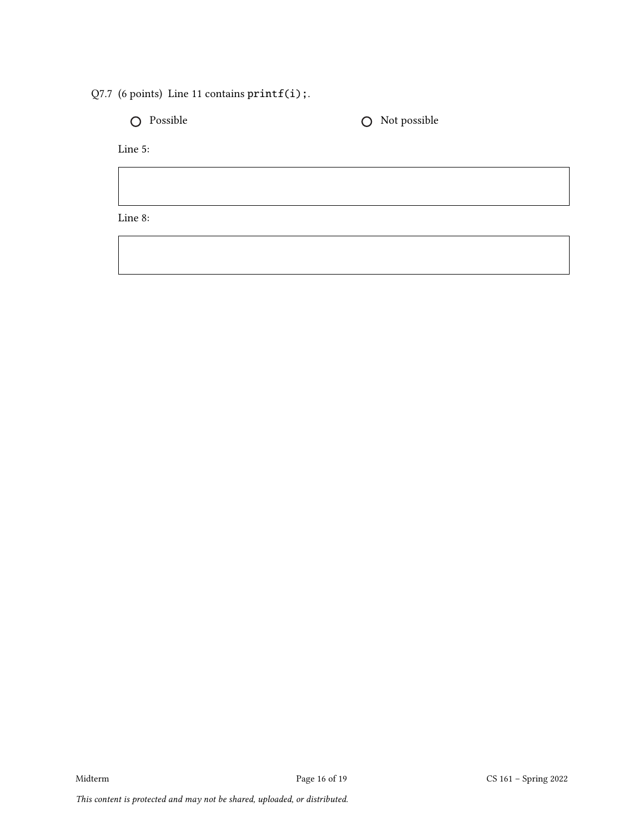Q7.7 (6 points) Line 11 contains printf(i);.

 $\bigcirc$  Possible  $\bigcirc$  Not possible

Line 5:

Line 8: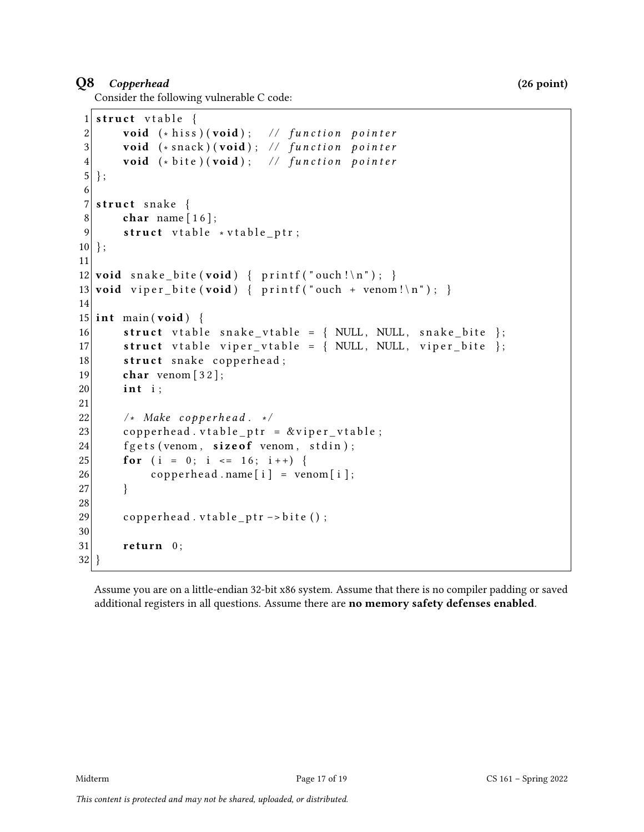### Q8 Copperhead (26 point)

Consider the following vulnerable C code:

```
1 struct vtable {
2 \vert void (*\text{ his}) (void); // function pointer
3 void (* snack ) (void); // function pointer
4 void (* bite ) (void); // function pointer
5 };
6
7 struct snake \{8 char name [16];
9 \vert struct vtable *vtable_ptr;
10 };
11
12 void snake_bite (void) { printf ("ouch!\n"); }
13 void viper_bite (void) { printf ("ouch + venom!\n"); }
14
15 int main (void) {
16 struct v table snake_v table = { NULL, NULL, snake_bite };
17 \vert struct vtable viper_vtable = { NULL, NULL, viper_bite };
18 struct snake copperhead;
19 char venom \lceil 32 \rceil;
20 int i:
21
22 \vert /* Make copperhead. */
23 copperhead vtable ptr = &viper vtable;
24 fgets (venom, size of venom, stdin);
25 for (i = 0; i <= 16; i++) {
26 copperhead . name [i] = \text{venom}[i];27 }
28
29 copperhead . v table _ptr -> bite ();
30
31 return 0;
32 }
```
Assume you are on a little-endian 32-bit x86 system. Assume that there is no compiler padding or saved additional registers in all questions. Assume there are no memory safety defenses enabled.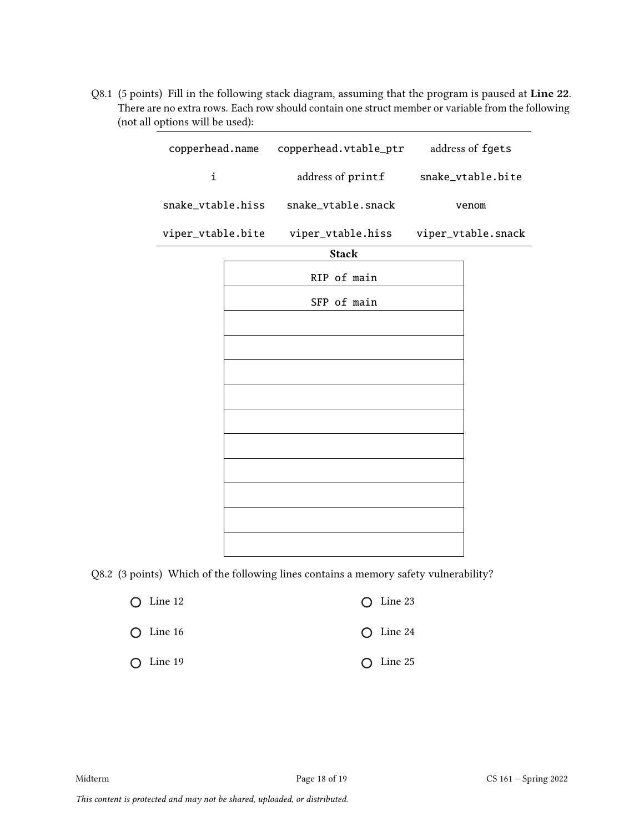Q8.1 (5 points) Fill in the following stack diagram, assuming that the program is paused at Line 22. There are no extra rows. Each row should contain one struct member or variable from the following (not all options will be used):

| copperhead.name   |  | copperhead.vtable_ptr | address of fgets   |  |
|-------------------|--|-----------------------|--------------------|--|
| i                 |  | address of printf     | snake_vtable.bite  |  |
| snake_vtable.hiss |  | snake_vtable.snack    | venom              |  |
| viper_vtable.bite |  | viper_vtable.hiss     | viper_vtable.snack |  |
|                   |  | <b>Stack</b>          |                    |  |
|                   |  | RIP of main           |                    |  |
|                   |  | SFP of main           |                    |  |
|                   |  |                       |                    |  |
|                   |  |                       |                    |  |
|                   |  |                       |                    |  |
|                   |  |                       |                    |  |
|                   |  |                       |                    |  |
|                   |  |                       |                    |  |
|                   |  |                       |                    |  |
|                   |  |                       |                    |  |
|                   |  |                       |                    |  |
|                   |  |                       |                    |  |

Q8.2 (3 points) Which of the following lines contains a memory safety vulnerability?

| $\bigcirc$ Line 12 | $\bigcap$ Line 23  |
|--------------------|--------------------|
| $\bigcirc$ Line 16 | $\bigcirc$ Line 24 |
| $\bigcirc$ Line 19 | $\bigcap$ Line 25  |